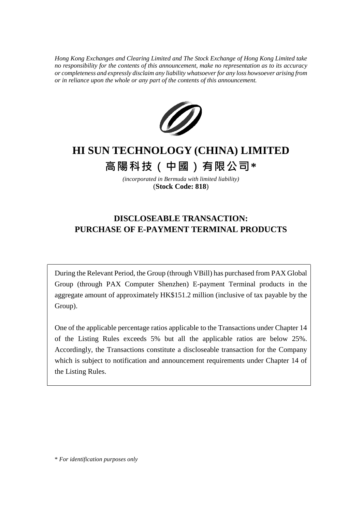*Hong Kong Exchanges and Clearing Limited and The Stock Exchange of Hong Kong Limited take no responsibility for the contents of this announcement, make no representation as to its accuracy or completeness and expressly disclaim any liability whatsoever for any loss howsoever arising from or in reliance upon the whole or any part of the contents of this announcement.*



# **HI SUN TECHNOLOGY (CHINA) LIMITED**

**高陽科技(中國)有限公司\***

*(incorporated in Bermuda with limited liability)* (**Stock Code: 818**)

# **DISCLOSEABLE TRANSACTION: PURCHASE OF E-PAYMENT TERMINAL PRODUCTS**

During the Relevant Period, the Group (through VBill) has purchased from PAX Global Group (through PAX Computer Shenzhen) E-payment Terminal products in the aggregate amount of approximately HK\$151.2 million (inclusive of tax payable by the Group).

One of the applicable percentage ratios applicable to the Transactions under Chapter 14 of the Listing Rules exceeds 5% but all the applicable ratios are below 25%. Accordingly, the Transactions constitute a discloseable transaction for the Company which is subject to notification and announcement requirements under Chapter 14 of the Listing Rules.

\* *For identification purposes only*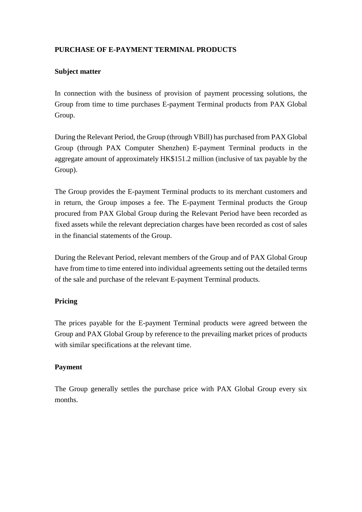## **PURCHASE OF E-PAYMENT TERMINAL PRODUCTS**

#### **Subject matter**

In connection with the business of provision of payment processing solutions, the Group from time to time purchases E-payment Terminal products from PAX Global Group.

During the Relevant Period, the Group (through VBill) has purchased from PAX Global Group (through PAX Computer Shenzhen) E-payment Terminal products in the aggregate amount of approximately HK\$151.2 million (inclusive of tax payable by the Group).

The Group provides the E-payment Terminal products to its merchant customers and in return, the Group imposes a fee. The E-payment Terminal products the Group procured from PAX Global Group during the Relevant Period have been recorded as fixed assets while the relevant depreciation charges have been recorded as cost of sales in the financial statements of the Group.

During the Relevant Period, relevant members of the Group and of PAX Global Group have from time to time entered into individual agreements setting out the detailed terms of the sale and purchase of the relevant E-payment Terminal products.

#### **Pricing**

The prices payable for the E-payment Terminal products were agreed between the Group and PAX Global Group by reference to the prevailing market prices of products with similar specifications at the relevant time.

#### **Payment**

The Group generally settles the purchase price with PAX Global Group every six months.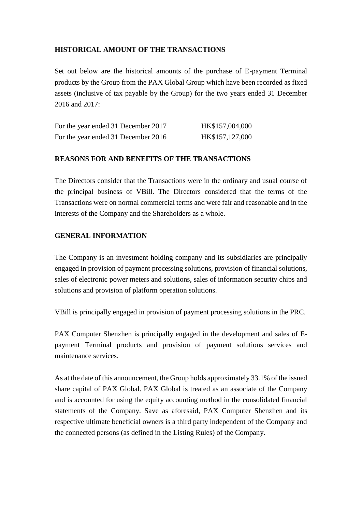### **HISTORICAL AMOUNT OF THE TRANSACTIONS**

Set out below are the historical amounts of the purchase of E-payment Terminal products by the Group from the PAX Global Group which have been recorded as fixed assets (inclusive of tax payable by the Group) for the two years ended 31 December 2016 and 2017:

| For the year ended 31 December 2017 | HK\$157,004,000 |
|-------------------------------------|-----------------|
| For the year ended 31 December 2016 | HK\$157,127,000 |

#### **REASONS FOR AND BENEFITS OF THE TRANSACTIONS**

The Directors consider that the Transactions were in the ordinary and usual course of the principal business of VBill. The Directors considered that the terms of the Transactions were on normal commercial terms and were fair and reasonable and in the interests of the Company and the Shareholders as a whole.

#### **GENERAL INFORMATION**

The Company is an investment holding company and its subsidiaries are principally engaged in provision of payment processing solutions, provision of financial solutions, sales of electronic power meters and solutions, sales of information security chips and solutions and provision of platform operation solutions.

VBill is principally engaged in provision of payment processing solutions in the PRC.

PAX Computer Shenzhen is principally engaged in the development and sales of Epayment Terminal products and provision of payment solutions services and maintenance services.

As at the date of this announcement, the Group holds approximately 33.1% of the issued share capital of PAX Global. PAX Global is treated as an associate of the Company and is accounted for using the equity accounting method in the consolidated financial statements of the Company. Save as aforesaid, PAX Computer Shenzhen and its respective ultimate beneficial owners is a third party independent of the Company and the connected persons (as defined in the Listing Rules) of the Company.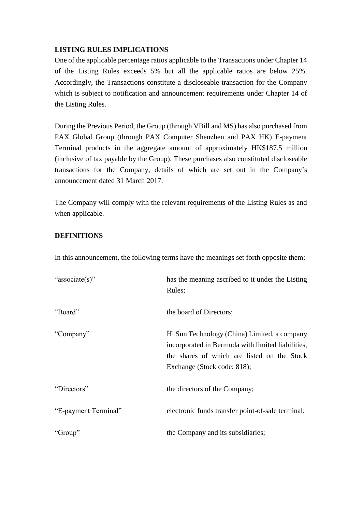### **LISTING RULES IMPLICATIONS**

One of the applicable percentage ratios applicable to the Transactions under Chapter 14 of the Listing Rules exceeds 5% but all the applicable ratios are below 25%. Accordingly, the Transactions constitute a discloseable transaction for the Company which is subject to notification and announcement requirements under Chapter 14 of the Listing Rules.

During the Previous Period, the Group (through VBill and MS) has also purchased from PAX Global Group (through PAX Computer Shenzhen and PAX HK) E-payment Terminal products in the aggregate amount of approximately HK\$187.5 million (inclusive of tax payable by the Group). These purchases also constituted discloseable transactions for the Company, details of which are set out in the Company's announcement dated 31 March 2017.

The Company will comply with the relevant requirements of the Listing Rules as and when applicable.

### **DEFINITIONS**

In this announcement, the following terms have the meanings set forth opposite them:

| "associate(s)"       | has the meaning ascribed to it under the Listing<br>Rules;                                                                                                                      |
|----------------------|---------------------------------------------------------------------------------------------------------------------------------------------------------------------------------|
| "Board"              | the board of Directors;                                                                                                                                                         |
| "Company"            | Hi Sun Technology (China) Limited, a company<br>incorporated in Bermuda with limited liabilities,<br>the shares of which are listed on the Stock<br>Exchange (Stock code: 818); |
| "Directors"          | the directors of the Company;                                                                                                                                                   |
| "E-payment Terminal" | electronic funds transfer point-of-sale terminal;                                                                                                                               |
| "Group"              | the Company and its subsidiaries;                                                                                                                                               |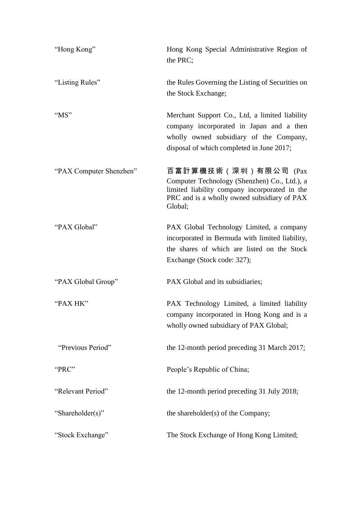| "Hong Kong"             | Hong Kong Special Administrative Region of<br>the PRC;                                                                                                                             |
|-------------------------|------------------------------------------------------------------------------------------------------------------------------------------------------------------------------------|
| "Listing Rules"         | the Rules Governing the Listing of Securities on<br>the Stock Exchange;                                                                                                            |
| " $MS"$                 | Merchant Support Co., Ltd, a limited liability<br>company incorporated in Japan and a then<br>wholly owned subsidiary of the Company,<br>disposal of which completed in June 2017; |
| "PAX Computer Shenzhen" | 百富計算機技術(深圳)有限公司 (Pax<br>Computer Technology (Shenzhen) Co., Ltd.), a<br>limited liability company incorporated in the<br>PRC and is a wholly owned subsidiary of PAX<br>Global;    |
| "PAX Global"            | PAX Global Technology Limited, a company<br>incorporated in Bermuda with limited liability,<br>the shares of which are listed on the Stock<br>Exchange (Stock code: 327);          |
| "PAX Global Group"      | PAX Global and its subsidiaries;                                                                                                                                                   |
| "PAX HK"                | PAX Technology Limited, a limited liability<br>company incorporated in Hong Kong and is a<br>wholly owned subsidiary of PAX Global;                                                |
| "Previous Period"       | the 12-month period preceding 31 March 2017;                                                                                                                                       |
| "PRC"                   | People's Republic of China;                                                                                                                                                        |
| "Relevant Period"       | the 12-month period preceding 31 July 2018;                                                                                                                                        |
| "Shareholder(s)"        | the shareholder(s) of the Company;                                                                                                                                                 |
| "Stock Exchange"        | The Stock Exchange of Hong Kong Limited;                                                                                                                                           |